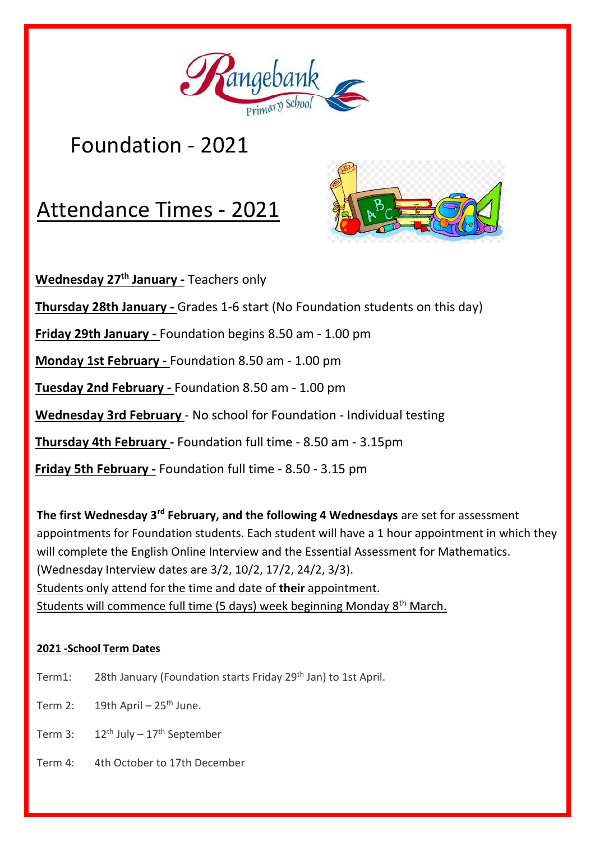

## Foundation - 2021

# Attendance Times - 2021



 **Wednesday 27th January -** Teachers only **Thursday 28th January -** Grades 1-6 start (No Foundation students on this day)  **Friday 29th January -** Foundation begins 8.50 am - 1.00 pm  **Monday 1st February -** Foundation 8.50 am - 1.00 pm  **Tuesday 2nd February -** Foundation 8.50 am - 1.00 pm  **Wednesday 3rd February** - No school for Foundation - Individual testing  **Thursday 4th February -** Foundation full time - 8.50 am - 3.15pm  **Friday 5th February -** Foundation full time - 8.50 - 3.15 pm

**The first Wednesday 3rd February, and the following 4 Wednesdays** are set for assessment appointments for Foundation students. Each student will have a 1 hour appointment in which they will complete the English Online Interview and the Essential Assessment for Mathematics. (Wednesday Interview dates are 3/2, 10/2, 17/2, 24/2, 3/3). Students only attend for the time and date of **their** appointment. Students will commence full time (5 days) week beginning Monday 8th March.

#### **2021 -School Term Dates**

- Term1: 28th January (Foundation starts Friday 29<sup>th</sup> Jan) to 1st April.
- Term 2:  $19th$  April 25<sup>th</sup> June.
- Term 3:  $12^{th}$  July  $17^{th}$  September
- Term 4: 4th October to 17th December